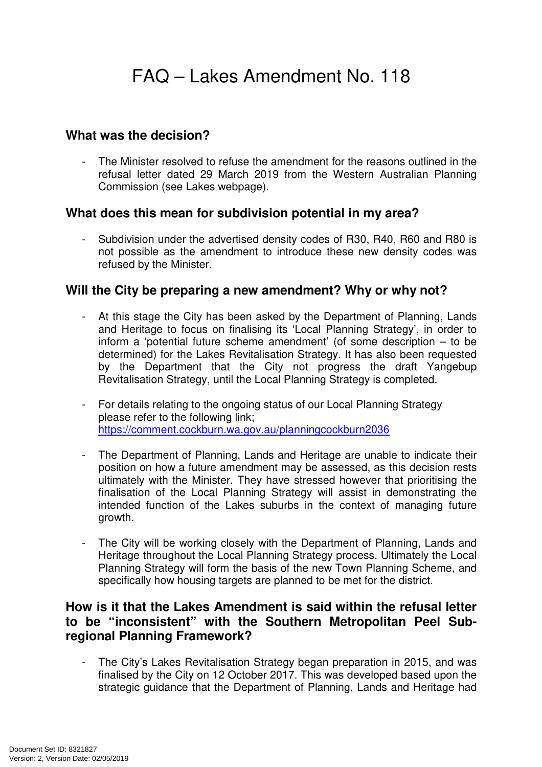#### **What was the decision?**

The Minister resolved to refuse the amendment for the reasons outlined in the refusal letter dated 29 March 2019 from the Western Australian Planning Commission (see Lakes webpage).

#### **What does this mean for subdivision potential in my area?**

- Subdivision under the advertised density codes of R30, R40, R60 and R80 is not possible as the amendment to introduce these new density codes was refused by the Minister.

#### **Will the City be preparing a new amendment? Why or why not?**

- At this stage the City has been asked by the Department of Planning, Lands and Heritage to focus on finalising its 'Local Planning Strategy', in order to inform a 'potential future scheme amendment' (of some description – to be determined) for the Lakes Revitalisation Strategy. It has also been requested by the Department that the City not progress the draft Yangebup Revitalisation Strategy, until the Local Planning Strategy is completed.
- For details relating to the ongoing status of our Local Planning Strategy please refer to the following link; https://comment.cockburn.wa.gov.au/planningcockburn2036
- The Department of Planning, Lands and Heritage are unable to indicate their position on how a future amendment may be assessed, as this decision rests ultimately with the Minister. They have stressed however that prioritising the finalisation of the Local Planning Strategy will assist in demonstrating the intended function of the Lakes suburbs in the context of managing future growth.
- The City will be working closely with the Department of Planning, Lands and Heritage throughout the Local Planning Strategy process. Ultimately the Local Planning Strategy will form the basis of the new Town Planning Scheme, and specifically how housing targets are planned to be met for the district.

#### **How is it that the Lakes Amendment is said within the refusal letter to be "inconsistent" with the Southern Metropolitan Peel Subregional Planning Framework?**

The City's Lakes Revitalisation Strategy began preparation in 2015, and was finalised by the City on 12 October 2017. This was developed based upon the strategic guidance that the Department of Planning, Lands and Heritage had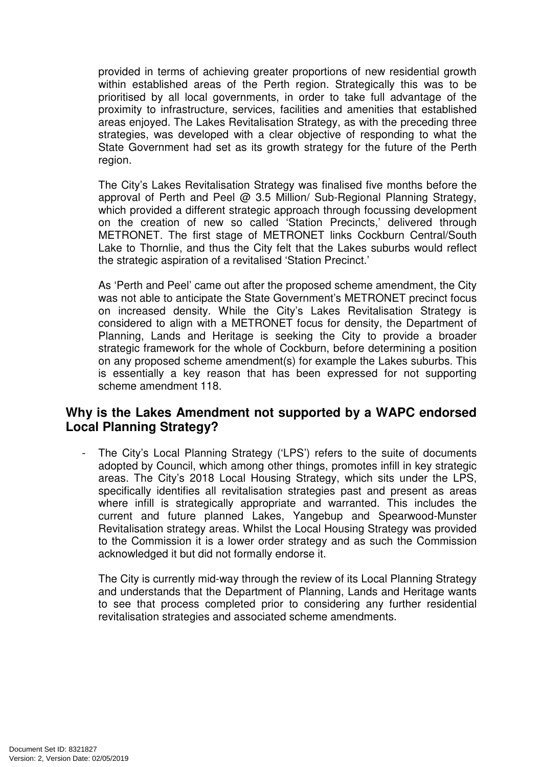provided in terms of achieving greater proportions of new residential growth within established areas of the Perth region. Strategically this was to be prioritised by all local governments, in order to take full advantage of the proximity to infrastructure, services, facilities and amenities that established areas enjoyed. The Lakes Revitalisation Strategy, as with the preceding three strategies, was developed with a clear objective of responding to what the State Government had set as its growth strategy for the future of the Perth region.

The City's Lakes Revitalisation Strategy was finalised five months before the approval of Perth and Peel @ 3.5 Million/ Sub-Regional Planning Strategy, which provided a different strategic approach through focussing development on the creation of new so called 'Station Precincts,' delivered through METRONET. The first stage of METRONET links Cockburn Central/South Lake to Thornlie, and thus the City felt that the Lakes suburbs would reflect the strategic aspiration of a revitalised 'Station Precinct.'

As 'Perth and Peel' came out after the proposed scheme amendment, the City was not able to anticipate the State Government's METRONET precinct focus on increased density. While the City's Lakes Revitalisation Strategy is considered to align with a METRONET focus for density, the Department of Planning, Lands and Heritage is seeking the City to provide a broader strategic framework for the whole of Cockburn, before determining a position on any proposed scheme amendment(s) for example the Lakes suburbs. This is essentially a key reason that has been expressed for not supporting scheme amendment 118.

# **Why is the Lakes Amendment not supported by a WAPC endorsed Local Planning Strategy?**

- The City's Local Planning Strategy ('LPS') refers to the suite of documents adopted by Council, which among other things, promotes infill in key strategic areas. The City's 2018 Local Housing Strategy, which sits under the LPS, specifically identifies all revitalisation strategies past and present as areas where infill is strategically appropriate and warranted. This includes the current and future planned Lakes, Yangebup and Spearwood-Munster Revitalisation strategy areas. Whilst the Local Housing Strategy was provided to the Commission it is a lower order strategy and as such the Commission acknowledged it but did not formally endorse it.

The City is currently mid-way through the review of its Local Planning Strategy and understands that the Department of Planning, Lands and Heritage wants to see that process completed prior to considering any further residential revitalisation strategies and associated scheme amendments.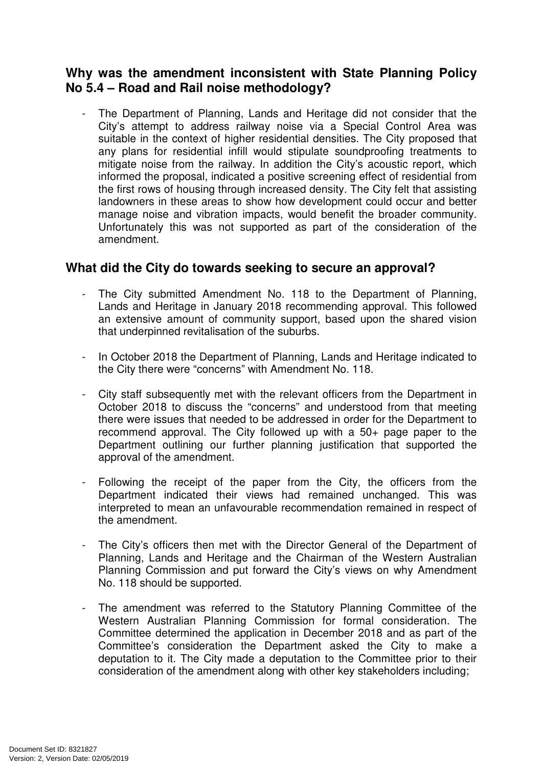# **Why was the amendment inconsistent with State Planning Policy No 5.4 – Road and Rail noise methodology?**

The Department of Planning, Lands and Heritage did not consider that the City's attempt to address railway noise via a Special Control Area was suitable in the context of higher residential densities. The City proposed that any plans for residential infill would stipulate soundproofing treatments to mitigate noise from the railway. In addition the City's acoustic report, which informed the proposal, indicated a positive screening effect of residential from the first rows of housing through increased density. The City felt that assisting landowners in these areas to show how development could occur and better manage noise and vibration impacts, would benefit the broader community. Unfortunately this was not supported as part of the consideration of the amendment.

# **What did the City do towards seeking to secure an approval?**

- The City submitted Amendment No. 118 to the Department of Planning, Lands and Heritage in January 2018 recommending approval. This followed an extensive amount of community support, based upon the shared vision that underpinned revitalisation of the suburbs.
- In October 2018 the Department of Planning, Lands and Heritage indicated to the City there were "concerns" with Amendment No. 118.
- City staff subsequently met with the relevant officers from the Department in October 2018 to discuss the "concerns" and understood from that meeting there were issues that needed to be addressed in order for the Department to recommend approval. The City followed up with a 50+ page paper to the Department outlining our further planning justification that supported the approval of the amendment.
- Following the receipt of the paper from the City, the officers from the Department indicated their views had remained unchanged. This was interpreted to mean an unfavourable recommendation remained in respect of the amendment.
- The City's officers then met with the Director General of the Department of Planning, Lands and Heritage and the Chairman of the Western Australian Planning Commission and put forward the City's views on why Amendment No. 118 should be supported.
- The amendment was referred to the Statutory Planning Committee of the Western Australian Planning Commission for formal consideration. The Committee determined the application in December 2018 and as part of the Committee's consideration the Department asked the City to make a deputation to it. The City made a deputation to the Committee prior to their consideration of the amendment along with other key stakeholders including;